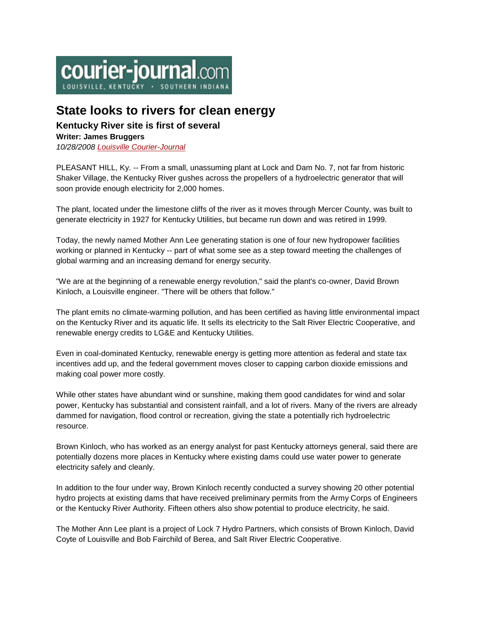

# **State looks to rivers for clean energy**

# **Kentucky River site is first of several**

## **Writer: James Bruggers**

*10/28/2008 [Louisville Courier-Journal](http://www.courier-journal.com/)*

PLEASANT HILL, Ky. -- From a small, unassuming plant at Lock and Dam No. 7, not far from historic Shaker Village, the Kentucky River gushes across the propellers of a hydroelectric generator that will soon provide enough electricity for 2,000 homes.

The plant, located under the limestone cliffs of the river as it moves through Mercer County, was built to generate electricity in 1927 for Kentucky Utilities, but became run down and was retired in 1999.

Today, the newly named Mother Ann Lee generating station is one of four new hydropower facilities working or planned in Kentucky -- part of what some see as a step toward meeting the challenges of global warming and an increasing demand for energy security.

"We are at the beginning of a renewable energy revolution," said the plant's co-owner, David Brown Kinloch, a Louisville engineer. "There will be others that follow."

The plant emits no climate-warming pollution, and has been certified as having little environmental impact on the Kentucky River and its aquatic life. It sells its electricity to the Salt River Electric Cooperative, and renewable energy credits to LG&E and Kentucky Utilities.

Even in coal-dominated Kentucky, renewable energy is getting more attention as federal and state tax incentives add up, and the federal government moves closer to capping carbon dioxide emissions and making coal power more costly.

While other states have abundant wind or sunshine, making them good candidates for wind and solar power, Kentucky has substantial and consistent rainfall, and a lot of rivers. Many of the rivers are already dammed for navigation, flood control or recreation, giving the state a potentially rich hydroelectric resource.

Brown Kinloch, who has worked as an energy analyst for past Kentucky attorneys general, said there are potentially dozens more places in Kentucky where existing dams could use water power to generate electricity safely and cleanly.

In addition to the four under way, Brown Kinloch recently conducted a survey showing 20 other potential hydro projects at existing dams that have received preliminary permits from the Army Corps of Engineers or the Kentucky River Authority. Fifteen others also show potential to produce electricity, he said.

The Mother Ann Lee plant is a project of Lock 7 Hydro Partners, which consists of Brown Kinloch, David Coyte of Louisville and Bob Fairchild of Berea, and Salt River Electric Cooperative.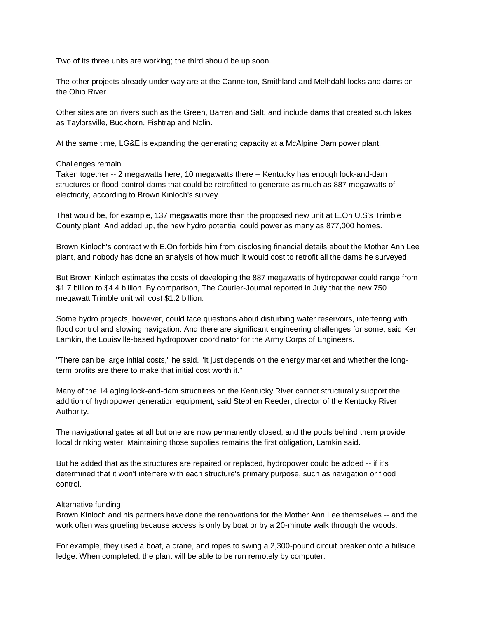Two of its three units are working; the third should be up soon.

The other projects already under way are at the Cannelton, Smithland and Melhdahl locks and dams on the Ohio River.

Other sites are on rivers such as the Green, Barren and Salt, and include dams that created such lakes as Taylorsville, Buckhorn, Fishtrap and Nolin.

At the same time, LG&E is expanding the generating capacity at a McAlpine Dam power plant.

#### Challenges remain

Taken together -- 2 megawatts here, 10 megawatts there -- Kentucky has enough lock-and-dam structures or flood-control dams that could be retrofitted to generate as much as 887 megawatts of electricity, according to Brown Kinloch's survey.

That would be, for example, 137 megawatts more than the proposed new unit at E.On U.S's Trimble County plant. And added up, the new hydro potential could power as many as 877,000 homes.

Brown Kinloch's contract with E.On forbids him from disclosing financial details about the Mother Ann Lee plant, and nobody has done an analysis of how much it would cost to retrofit all the dams he surveyed.

But Brown Kinloch estimates the costs of developing the 887 megawatts of hydropower could range from \$1.7 billion to \$4.4 billion. By comparison, The Courier-Journal reported in July that the new 750 megawatt Trimble unit will cost \$1.2 billion.

Some hydro projects, however, could face questions about disturbing water reservoirs, interfering with flood control and slowing navigation. And there are significant engineering challenges for some, said Ken Lamkin, the Louisville-based hydropower coordinator for the Army Corps of Engineers.

"There can be large initial costs," he said. "It just depends on the energy market and whether the longterm profits are there to make that initial cost worth it."

Many of the 14 aging lock-and-dam structures on the Kentucky River cannot structurally support the addition of hydropower generation equipment, said Stephen Reeder, director of the Kentucky River Authority.

The navigational gates at all but one are now permanently closed, and the pools behind them provide local drinking water. Maintaining those supplies remains the first obligation, Lamkin said.

But he added that as the structures are repaired or replaced, hydropower could be added -- if it's determined that it won't interfere with each structure's primary purpose, such as navigation or flood control.

### Alternative funding

Brown Kinloch and his partners have done the renovations for the Mother Ann Lee themselves -- and the work often was grueling because access is only by boat or by a 20-minute walk through the woods.

For example, they used a boat, a crane, and ropes to swing a 2,300-pound circuit breaker onto a hillside ledge. When completed, the plant will be able to be run remotely by computer.